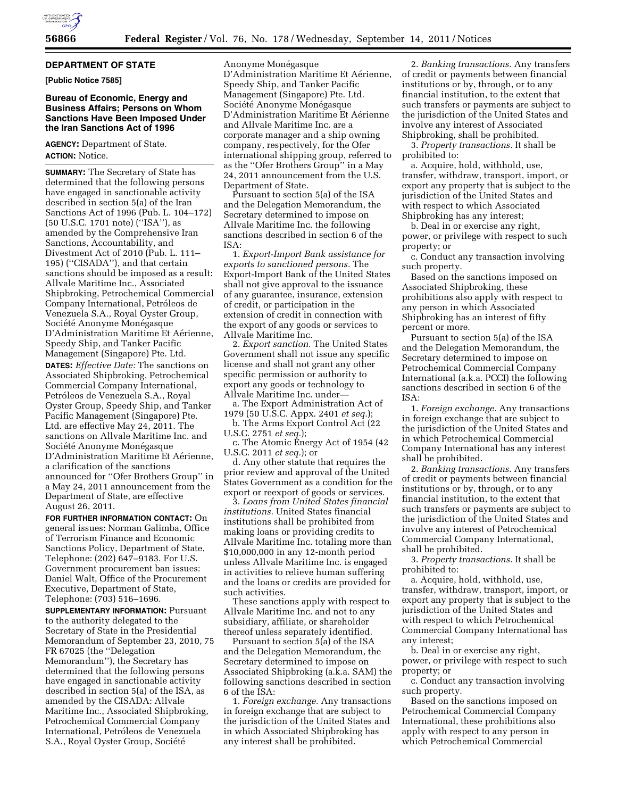

## **DEPARTMENT OF STATE**

**[Public Notice 7585]** 

# **Bureau of Economic, Energy and Business Affairs; Persons on Whom Sanctions Have Been Imposed Under the Iran Sanctions Act of 1996**

**AGENCY:** Department of State. **ACTION:** Notice.

**SUMMARY:** The Secretary of State has determined that the following persons have engaged in sanctionable activity described in section 5(a) of the Iran Sanctions Act of 1996 (Pub. L. 104–172) (50 U.S.C. 1701 note) (''ISA''), as amended by the Comprehensive Iran Sanctions, Accountability, and Divestment Act of 2010 (Pub. L. 111– 195) (''CISADA''), and that certain sanctions should be imposed as a result: Allvale Maritime Inc., Associated Shipbroking, Petrochemical Commercial Company International, Petróleos de Venezuela S.A., Royal Oyster Group, Société Anonyme Monégasque D'Administration Maritime Et Aérienne, Speedy Ship, and Tanker Pacific Management (Singapore) Pte. Ltd.

**DATES:** *Effective Date:* The sanctions on Associated Shipbroking, Petrochemical Commercial Company International, Petróleos de Venezuela S.A., Royal Oyster Group, Speedy Ship, and Tanker Pacific Management (Singapore) Pte. Ltd. are effective May 24, 2011. The sanctions on Allvale Maritime Inc. and Société Anonyme Monégasque D'Administration Maritime Et Aérienne, a clarification of the sanctions announced for ''Ofer Brothers Group'' in a May 24, 2011 announcement from the Department of State, are effective August 26, 2011.

**FOR FURTHER INFORMATION CONTACT:** On general issues: Norman Galimba, Office of Terrorism Finance and Economic Sanctions Policy, Department of State, Telephone: (202) 647–9183. For U.S. Government procurement ban issues: Daniel Walt, Office of the Procurement Executive, Department of State, Telephone: (703) 516–1696.

**SUPPLEMENTARY INFORMATION:** Pursuant to the authority delegated to the Secretary of State in the Presidential Memorandum of September 23, 2010, 75 FR 67025 (the ''Delegation Memorandum''), the Secretary has determined that the following persons have engaged in sanctionable activity described in section 5(a) of the ISA, as amended by the CISADA: Allvale Maritime Inc., Associated Shipbroking, Petrochemical Commercial Company International, Petróleos de Venezuela S.A., Royal Oyster Group, Société

Anonyme Monégasque D'Administration Maritime Et Aérienne, Speedy Ship, and Tanker Pacific Management (Singapore) Pte. Ltd. Société Anonyme Monégasque D'Administration Maritime Et Aérienne and Allvale Maritime Inc. are a corporate manager and a ship owning company, respectively, for the Ofer international shipping group, referred to as the ''Ofer Brothers Group'' in a May 24, 2011 announcement from the U.S. Department of State.

Pursuant to section 5(a) of the ISA and the Delegation Memorandum, the Secretary determined to impose on Allvale Maritime Inc. the following sanctions described in section 6 of the ISA:

1. *Export-Import Bank assistance for exports to sanctioned persons.* The Export-Import Bank of the United States shall not give approval to the issuance of any guarantee, insurance, extension of credit, or participation in the extension of credit in connection with the export of any goods or services to Allvale Maritime Inc.

2. *Export sanction.* The United States Government shall not issue any specific license and shall not grant any other specific permission or authority to export any goods or technology to Allvale Maritime Inc. under—

a. The Export Administration Act of 1979 (50 U.S.C. Appx. 2401 *et seq.*);

b. The Arms Export Control Act (22 U.S.C. 2751 *et seq.*);

c. The Atomic Energy Act of 1954 (42 U.S.C. 2011 *et seq.*); or

d. Any other statute that requires the prior review and approval of the United States Government as a condition for the export or reexport of goods or services.

3. *Loans from United States financial institutions.* United States financial institutions shall be prohibited from making loans or providing credits to Allvale Maritime Inc. totaling more than \$10,000,000 in any 12-month period unless Allvale Maritime Inc. is engaged in activities to relieve human suffering and the loans or credits are provided for such activities.

These sanctions apply with respect to Allvale Maritime Inc. and not to any subsidiary, affiliate, or shareholder thereof unless separately identified.

Pursuant to section 5(a) of the ISA and the Delegation Memorandum, the Secretary determined to impose on Associated Shipbroking (a.k.a. SAM) the following sanctions described in section 6 of the ISA:

1. *Foreign exchange.* Any transactions in foreign exchange that are subject to the jurisdiction of the United States and in which Associated Shipbroking has any interest shall be prohibited.

2. *Banking transactions.* Any transfers of credit or payments between financial institutions or by, through, or to any financial institution, to the extent that such transfers or payments are subject to the jurisdiction of the United States and involve any interest of Associated Shipbroking, shall be prohibited.

3. *Property transactions.* It shall be prohibited to:

a. Acquire, hold, withhold, use, transfer, withdraw, transport, import, or export any property that is subject to the jurisdiction of the United States and with respect to which Associated Shipbroking has any interest;

b. Deal in or exercise any right, power, or privilege with respect to such property; or

c. Conduct any transaction involving such property.

Based on the sanctions imposed on Associated Shipbroking, these prohibitions also apply with respect to any person in which Associated Shipbroking has an interest of fifty percent or more.

Pursuant to section 5(a) of the ISA and the Delegation Memorandum, the Secretary determined to impose on Petrochemical Commercial Company International (a.k.a. PCCI) the following sanctions described in section 6 of the ISA:

1. *Foreign exchange.* Any transactions in foreign exchange that are subject to the jurisdiction of the United States and in which Petrochemical Commercial Company International has any interest shall be prohibited.

2. *Banking transactions.* Any transfers of credit or payments between financial institutions or by, through, or to any financial institution, to the extent that such transfers or payments are subject to the jurisdiction of the United States and involve any interest of Petrochemical Commercial Company International, shall be prohibited.

3. *Property transactions.* It shall be prohibited to:

a. Acquire, hold, withhold, use, transfer, withdraw, transport, import, or export any property that is subject to the jurisdiction of the United States and with respect to which Petrochemical Commercial Company International has any interest;

b. Deal in or exercise any right, power, or privilege with respect to such property; or

c. Conduct any transaction involving such property.

Based on the sanctions imposed on Petrochemical Commercial Company International, these prohibitions also apply with respect to any person in which Petrochemical Commercial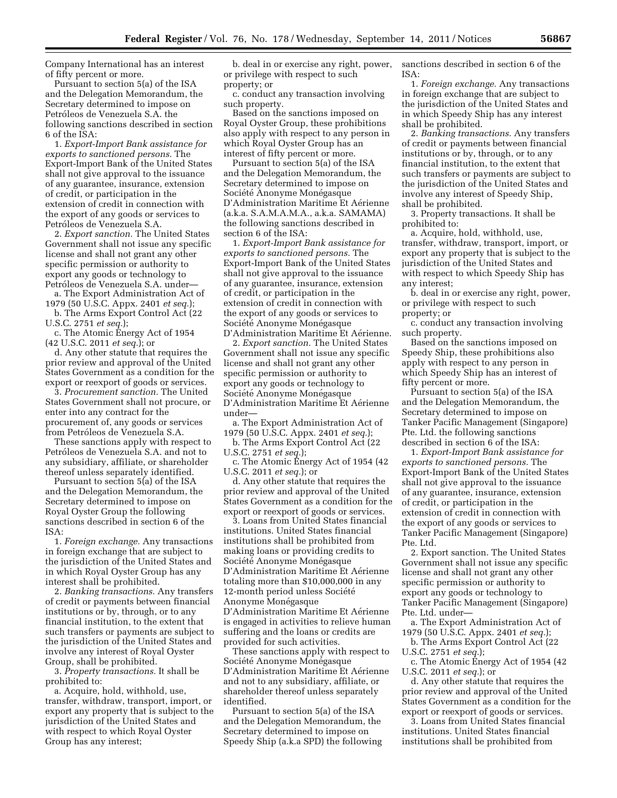Company International has an interest of fifty percent or more.

Pursuant to section 5(a) of the ISA and the Delegation Memorandum, the Secretary determined to impose on Petróleos de Venezuela S.A. the following sanctions described in section 6 of the ISA:

1. *Export-Import Bank assistance for exports to sanctioned persons.* The Export-Import Bank of the United States shall not give approval to the issuance of any guarantee, insurance, extension of credit, or participation in the extension of credit in connection with the export of any goods or services to Petróleos de Venezuela S.A.

2. *Export sanction.* The United States Government shall not issue any specific license and shall not grant any other specific permission or authority to export any goods or technology to Petróleos de Venezuela S.A. under-

a. The Export Administration Act of 1979 (50 U.S.C. Appx. 2401 *et seq.*);

b. The Arms Export Control Act (22 U.S.C. 2751 *et seq.*);

c. The Atomic Energy Act of 1954 (42 U.S.C. 2011 *et seq.*); or

d. Any other statute that requires the prior review and approval of the United States Government as a condition for the export or reexport of goods or services.

3. *Procurement sanction.* The United States Government shall not procure, or enter into any contract for the procurement of, any goods or services from Petróleos de Venezuela S.A.

These sanctions apply with respect to Petróleos de Venezuela S.A. and not to any subsidiary, affiliate, or shareholder thereof unless separately identified.

Pursuant to section 5(a) of the ISA and the Delegation Memorandum, the Secretary determined to impose on Royal Oyster Group the following sanctions described in section 6 of the ISA:

1. *Foreign exchange.* Any transactions in foreign exchange that are subject to the jurisdiction of the United States and in which Royal Oyster Group has any interest shall be prohibited.

2. *Banking transactions.* Any transfers of credit or payments between financial institutions or by, through, or to any financial institution, to the extent that such transfers or payments are subject to the jurisdiction of the United States and involve any interest of Royal Oyster Group, shall be prohibited.

3. *Property transactions.* It shall be prohibited to:

a. Acquire, hold, withhold, use, transfer, withdraw, transport, import, or export any property that is subject to the jurisdiction of the United States and with respect to which Royal Oyster Group has any interest;

b. deal in or exercise any right, power, or privilege with respect to such property; or

c. conduct any transaction involving such property.

Based on the sanctions imposed on Royal Oyster Group, these prohibitions also apply with respect to any person in which Royal Oyster Group has an interest of fifty percent or more.

Pursuant to section 5(a) of the ISA and the Delegation Memorandum, the Secretary determined to impose on Société Anonyme Monégasque D'Administration Maritime Et Aérienne (a.k.a. S.A.M.A.M.A., a.k.a. SAMAMA) the following sanctions described in section 6 of the ISA:

1. *Export-Import Bank assistance for exports to sanctioned persons.* The Export-Import Bank of the United States shall not give approval to the issuance of any guarantee, insurance, extension of credit, or participation in the extension of credit in connection with the export of any goods or services to Société Anonyme Monégasque

D'Administration Maritime Et Aérienne. 2. *Export sanction.* The United States Government shall not issue any specific license and shall not grant any other specific permission or authority to export any goods or technology to Société Anonyme Monégasque D'Administration Maritime Et Aérienne under—

a. The Export Administration Act of 1979 (50 U.S.C. Appx. 2401 *et seq.*);

b. The Arms Export Control Act (22 U.S.C. 2751 *et seq.*);

c. The Atomic Energy Act of 1954 (42 U.S.C. 2011 *et seq.*); or

d. Any other statute that requires the prior review and approval of the United States Government as a condition for the export or reexport of goods or services.

3. Loans from United States financial institutions. United States financial institutions shall be prohibited from making loans or providing credits to Société Anonyme Monégasque D'Administration Maritime Et Aérienne totaling more than \$10,000,000 in any 12-month period unless Société Anonyme Monégasque D'Administration Maritime Et Aérienne is engaged in activities to relieve human suffering and the loans or credits are provided for such activities.

These sanctions apply with respect to Société Anonyme Monégasque D'Administration Maritime Et Aérienne and not to any subsidiary, affiliate, or shareholder thereof unless separately identified.

Pursuant to section 5(a) of the ISA and the Delegation Memorandum, the Secretary determined to impose on Speedy Ship (a.k.a SPD) the following sanctions described in section 6 of the ISA:

1. *Foreign exchange.* Any transactions in foreign exchange that are subject to the jurisdiction of the United States and in which Speedy Ship has any interest shall be prohibited.

2. *Banking transactions.* Any transfers of credit or payments between financial institutions or by, through, or to any financial institution, to the extent that such transfers or payments are subject to the jurisdiction of the United States and involve any interest of Speedy Ship, shall be prohibited.

3. Property transactions. It shall be prohibited to:

a. Acquire, hold, withhold, use, transfer, withdraw, transport, import, or export any property that is subject to the jurisdiction of the United States and with respect to which Speedy Ship has any interest;

b. deal in or exercise any right, power, or privilege with respect to such property; or

c. conduct any transaction involving such property.

Based on the sanctions imposed on Speedy Ship, these prohibitions also apply with respect to any person in which Speedy Ship has an interest of fifty percent or more.

Pursuant to section 5(a) of the ISA and the Delegation Memorandum, the Secretary determined to impose on Tanker Pacific Management (Singapore) Pte. Ltd. the following sanctions described in section 6 of the ISA:

1. *Export-Import Bank assistance for exports to sanctioned persons.* The Export-Import Bank of the United States shall not give approval to the issuance of any guarantee, insurance, extension of credit, or participation in the extension of credit in connection with the export of any goods or services to Tanker Pacific Management (Singapore) Pte. Ltd.

2. Export sanction. The United States Government shall not issue any specific license and shall not grant any other specific permission or authority to export any goods or technology to Tanker Pacific Management (Singapore) Pte. Ltd. under—

a. The Export Administration Act of 1979 (50 U.S.C. Appx. 2401 *et seq.*);

b. The Arms Export Control Act (22 U.S.C. 2751 *et seq.*);

c. The Atomic Energy Act of 1954 (42 U.S.C. 2011 *et seq.*); or

d. Any other statute that requires the prior review and approval of the United States Government as a condition for the export or reexport of goods or services.

3. Loans from United States financial institutions. United States financial institutions shall be prohibited from